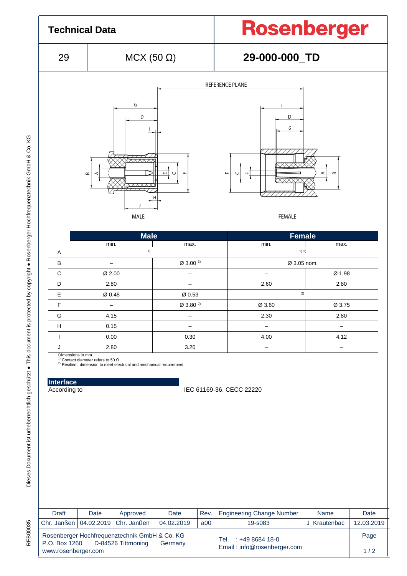

 $\begin{array}{|c|c|c|c|c|}\hline \text{{\large\textsf{F}}}& & & \text{{\large\textsf{P}}}& \text{{\large\textsf{P}}}& \text{{\large\textsf{P}}}& \text{{\large\textsf{P}}}& \text{{\large\textsf{P}}}& \text{{\large\textsf{P}}}& \text{{\large\textsf{P}}}& \text{{\large\textsf{P}}}& \text{{\large\textsf{P}}}& \text{{\large\textsf{P}}}& \text{{\large\textsf{P}}}& \text{{\large\textsf{P}}}& \text{{\large\textsf{P}}}& \text{{\large\textsf{P}}}& \text{{\large\textsf{P}}}& \text{{\large\text$ G | 4.15 | – | 2.30 | 2.80 H | 0.15 | – | – – | – I 0.00 0.30 deg 4.00 deg 4.12 J 2.80 3.20 – –

**Interface**

Dimensions in mm<br><sup>1)</sup> Contact diameter refers to 50 Ω<br><sup>2)</sup> Resilient, dimension to meet electrical and mechanical requirement

According to IEC 61169-36, CECC 22220

| <b>Draft</b>        | Date | Approved                                                            | Date       | Rev.                                                   | <b>Engineering Change Number</b> | Name         | Date       |
|---------------------|------|---------------------------------------------------------------------|------------|--------------------------------------------------------|----------------------------------|--------------|------------|
|                     |      | Chr. Janßen   04.02.2019   Chr. Janßen                              | 04.02.2019 | a00                                                    | 19-s083                          | J Krautenbac | 12.03.2019 |
| P.O. Box 1260       |      | Rosenberger Hochfrequenztechnik GmbH & Co. KG<br>D-84526 Tittmoning | Germany    | $: +49868418-0$<br>Tel.<br>Email: info@rosenberger.com |                                  | Page         |            |
| www.rosenberger.com |      |                                                                     |            |                                                        |                                  | 1/2          |            |

**RFB00035**